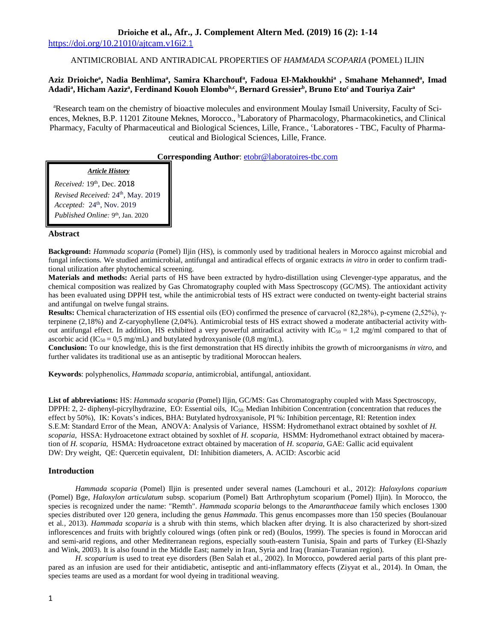# **Drioiche et al., Afr., J. Complement Altern Med. (2019) 16 (2): 1-14**

https://doi.org/10.21010/ajtcam.v16i2.1

# ANTIMICROBIAL AND ANTIRADICAL PROPERTIES OF *HAMMADA SCOPARIA* (POMEL) ILJIN

# **Aziz Drioiche<sup>a</sup> , Nadia Benhlima<sup>a</sup> , Samira Kharchouf<sup>a</sup> , Fadoua El-Makhoukhi<sup>a</sup> , Smahane Mehanned<sup>a</sup> , Imad Adadi<sup>a</sup> , Hicham Aaziz<sup>a</sup> , Ferdinand Kouoh Elombob,c, Bernard Gressier<sup>b</sup> , Bruno Eto<sup>c</sup>and Touriya Zair<sup>a</sup>**

<sup>a</sup>Research team on the chemistry of bioactive molecules and environment Moulay Ismaïl University, Faculty of Sciences, Meknes, B.P. 11201 Zitoune Meknes, Morocco., <sup>b</sup>Laboratory of Pharmacology, Pharmacokinetics, and Clinical Pharmacy, Faculty of Pharmaceutical and Biological Sciences, Lille, France., <sup>c</sup>Laboratores - TBC, Faculty of Pharmaceutical and Biological Sciences, Lille, France.

**Corresponding Author**: etobr@laboratoires-tbc.com

*Article History* 

*Received:* 19th, Dec. 2018 *Revised Received:* 24th, May. 2019 *Accepted:* 24<sup>th</sup>, Nov. 2019 *Published Online:* 9th, Jan. 2020

# **Abstract**

**Background:** *Hammada scoparia* (Pomel) Iljin (HS), is commonly used by traditional healers in Morocco against microbial and fungal infections. We studied antimicrobial, antifungal and antiradical effects of organic extracts *in vitro* in order to confirm traditional utilization after phytochemical screening.

**Materials and methods:** Aerial parts of HS have been extracted by hydro-distillation using Clevenger-type apparatus, and the chemical composition was realized by Gas Chromatography coupled with Mass Spectroscopy (GC/MS). The antioxidant activity has been evaluated using DPPH test, while the antimicrobial tests of HS extract were conducted on twenty-eight bacterial strains and antifungal on twelve fungal strains.

**Results:** Chemical characterization of HS essential oils (EO) confirmed the presence of carvacrol (82,28%), p-cymene (2,52%), γterpinene (2,18%) and Z-caryophyllene (2,04%). Antimicrobial tests of HS extract showed a moderate antibacterial activity without antifungal effect. In addition, HS exhibited a very powerful antiradical activity with  $IC_{50} = 1.2$  mg/ml compared to that of ascorbic acid (IC<sub>50</sub> = 0,5 mg/mL) and butylated hydroxyanisole (0,8 mg/mL).

**Conclusion:** To our knowledge, this is the first demonstration that HS directly inhibits the growth of microorganisms *in vitro*, and further validates its traditional use as an antiseptic by traditional Moroccan healers.

**Keywords**: polyphenolics, *Hammada scoparia*, antimicrobial, antifungal, antioxidant.

**List of abbreviations:** HS: *Hammada scoparia* (Pomel) Iljin, GC/MS: Gas Chromatography coupled with Mass Spectroscopy, DPPH: 2, 2- diphenyl-picrylhydrazine, EO: Essential oils,  $IC_{50}$ : Median Inhibition Concentration (concentration that reduces the effect by 50%), IK: Kovats's indices, BHA: Butylated hydroxyanisole, PI %: Inhibition percentage, RI: Retention index S.E.M: Standard Error of the Mean, ANOVA: Analysis of Variance, HSSM: Hydromethanol extract obtained by soxhlet of *H. scoparia,* HSSA: Hydroacetone extract obtained by soxhlet of *H. scoparia,* HSMM: Hydromethanol extract obtained by maceration of *H. scoparia,* HSMA: Hydroacetone extract obtained by maceration of *H. scoparia,* GAE: Gallic acid equivalent DW: Dry weight, QE: Quercetin equivalent, DI: Inhibition diameters, A. ACID: Ascorbic acid

## **Introduction**

*Hammada scoparia* (Pomel) Iljin is presented under several names (Lamchouri et al*.,* 2012): *Haloxylons coparium* (Pomel) Bge, *Haloxylon articulatum* subsp. scoparium (Pomel) Batt Arthrophytum scoparium (Pomel) Iljin). In Morocco, the species is recognized under the name: "Remth". *Hammada scoparia* belongs to the *Amaranthaceae* family which encloses 1300 species distributed over 120 genera, including the genus *Hammada*. This genus encompasses more than 150 species (Boulanouar et al*.,* 2013). *Hammada scoparia* is a shrub with thin stems, which blacken after drying. It is also characterized by short-sized inflorescences and fruits with brightly coloured wings (often pink or red) (Boulos, 1999). The species is found in Moroccan arid and semi-arid regions, and other Mediterranean regions, especially south-eastern Tunisia, Spain and parts of Turkey (El-Shazly and Wink, 2003). It is also found in the Middle East; namely in Iran, Syria and Iraq (Iranian-Turanian region).

*H. scoparium* is used to treat eye disorders (Ben Salah et al*.,* 2002). In Morocco, powdered aerial parts of this plant prepared as an infusion are used for their antidiabetic, antiseptic and anti-inflammatory effects (Ziyyat et al*.,* 2014). In Oman, the species teams are used as a mordant for wool dyeing in traditional weaving.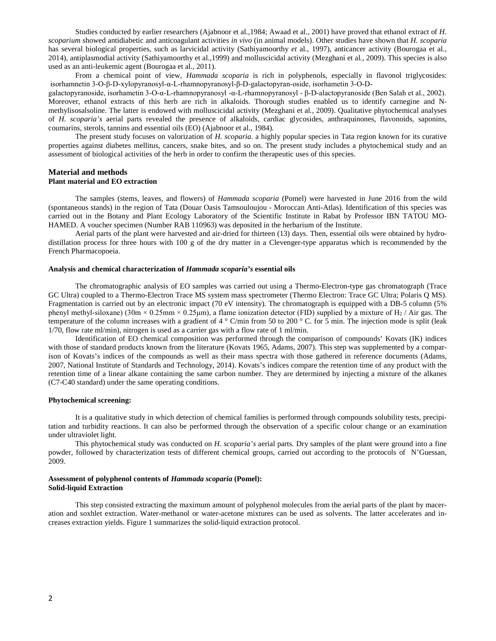Studies conducted by earlier researchers (Ajabnoor et al.,1984; Awaad et al., 2001) have proved that ethanol extract of *H. scoparium* showed antidiabetic and anticoagulant activities *in vivo* (in animal models). Other studies have shown that *H. scoparia*  has several biological properties, such as larvicidal activity (Sathiyamoorthy *et* al*.,* 1997), anticancer activity (Bourogaa et al*.,*  2014), antiplasmodial activity (Sathiyamoorthy et al*.,*1999) and molluscicidal activity (Mezghani et al*.,* 2009). This species is also used as an anti-leukemic agent (Bourogaa et al., 2011).

From a chemical point of view, *Hammada scoparia* is rich in polyphenols, especially in flavonol triglycosides: isorhamnetin 3-O-β-D-xylopyranosyl-α-L-rhamnopyranosyl-β-D-galactopyran-oside, isorhametin 3-O-D-

galactopyranoside, isorhametin 3-O-α-L-rhamnopyranosyl -α-L-rhamnopyranosyl - β-D-alactopyranoside (Ben Salah et al., 2002). Moreover, ethanol extracts of this herb are rich in alkaloids. Thorough studies enabled us to identify carnegine and Nmethylisosalsoline. The latter is endowed with molluscicidal activity (Mezghani et al*.,* 2009). Qualitative phytochemical analyses of *H. scoparia's* aerial parts revealed the presence of alkaloids, cardiac glycosides, anthraquinones, flavonoids, saponins, coumarins, sterols, tannins and essential oils (EO) (Ajabnoor et al., 1984).

The present study focuses on valorization of *H. scoparia*. a highly popular species in Tata region known for its curative properties against diabetes mellitus, cancers, snake bites, and so on. The present study includes a phytochemical study and an assessment of biological activities of the herb in order to confirm the therapeutic uses of this species.

### **Material and methods Plant material and EO extraction**

The samples (stems, leaves, and flowers) of *Hammada scoparia* (Pomel) were harvested in June 2016 from the wild (spontaneous stands) in the region of Tata (Douar Oasis Tamsouloujou - Moroccan Anti-Atlas). Identification of this species was carried out in the Botany and Plant Ecology Laboratory of the Scientific Institute in Rabat by Professor IBN TATOU MO-HAMED. A voucher specimen (Number RAB 110963) was deposited in the herbarium of the Institute.

Aerial parts of the plant were harvested and air-dried for thirteen (13) days. Then, essential oils were obtained by hydrodistillation process for three hours with 100 g of the dry matter in a Clevenger-type apparatus which is recommended by the French Pharmacopoeia.

#### **Analysis and chemical characterization of** *Hammada scoparia's* **essential oils**

The chromatographic analysis of EO samples was carried out using a Thermo-Electron-type gas chromatograph (Trace GC Ultra) coupled to a Thermo-Electron Trace MS system mass spectrometer (Thermo Electron: Trace GC Ultra; Polaris Q MS). Fragmentation is carried out by an electronic impact (70 eV intensity). The chromatograph is equipped with a DB-5 column (5% phenyl methyl-siloxane) (30m × 0.25mm × 0.25µm), a flame ionization detector (FID) supplied by a mixture of H<sub>2</sub> / Air gas. The temperature of the column increases with a gradient of 4  $\degree$  C/min from 50 to 200  $\degree$  C. for 5 min. The injection mode is split (leak 1/70, flow rate ml/min), nitrogen is used as a carrier gas with a flow rate of 1 ml/min.

Identification of EO chemical composition was performed through the comparison of compounds' Kovats (IK) indices with those of standard products known from the literature (Kovats 1965, Adams, 2007). This step was supplemented by a comparison of Kovats's indices of the compounds as well as their mass spectra with those gathered in reference documents (Adams, 2007, National Institute of Standards and Technology, 2014). Kovats's indices compare the retention time of any product with the retention time of a linear alkane containing the same carbon number. They are determined by injecting a mixture of the alkanes (C7-C40 standard) under the same operating conditions.

# **Phytochemical screening:**

It is a qualitative study in which detection of chemical families is performed through compounds solubility tests, precipitation and turbidity reactions. It can also be performed through the observation of a specific colour change or an examination under ultraviolet light.

This phytochemical study was conducted on *H. scoparia's* aerial parts. Dry samples of the plant were ground into a fine powder, followed by characterization tests of different chemical groups, carried out according to the protocols of N'Guessan, 2009.

### **Assessment of polyphenol contents of** *Hammada scoparia* **(Pomel): Solid-liquid Extraction**

This step consisted extracting the maximum amount of polyphenol molecules from the aerial parts of the plant by maceration and soxhlet extraction. Water-methanol or water-acetone mixtures can be used as solvents. The latter accelerates and increases extraction yields. Figure 1 summarizes the solid-liquid extraction protocol.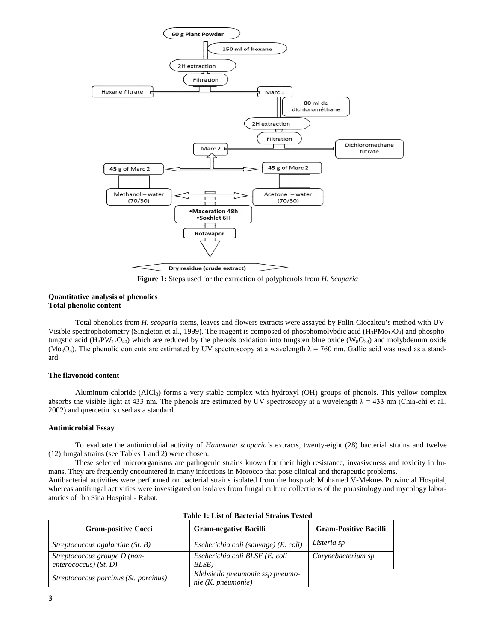

**Figure 1:** Steps used for the extraction of polyphenols from *H. Scoparia*

### **Quantitative analysis of phenolics Total phenolic content**

Total phenolics from *H. scoparia* stems, leaves and flowers extracts were assayed by Folin-Ciocalteu's method with UV-Visible spectrophotometry (Singleton et al., 1999). The reagent is composed of phosphomolybdic acid ( $H_3PMo_{12}O_4$ ) and phosphotungstic acid (H<sub>3</sub>PW<sub>12</sub>O<sub>40</sub>) which are reduced by the phenols oxidation into tungsten blue oxide (W<sub>8</sub>O<sub>23</sub>) and molybdenum oxide (Mo<sub>8</sub>O<sub>3</sub>). The phenolic contents are estimated by UV spectroscopy at a wavelength  $\lambda = 760$  nm. Gallic acid was used as a standard.

## **The flavonoid content**

Aluminum chloride (AlCl3) forms a very stable complex with hydroxyl (OH) groups of phenols. This yellow complex absorbs the visible light at 433 nm. The phenols are estimated by UV spectroscopy at a wavelength  $\lambda = 433$  nm (Chia-chi et al., 2002) and quercetin is used as a standard.

### **Antimicrobial Essay**

To evaluate the antimicrobial activity of *Hammada scoparia'*s extracts, twenty-eight (28) bacterial strains and twelve (12) fungal strains (see Tables 1 and 2) were chosen.

These selected microorganisms are pathogenic strains known for their high resistance, invasiveness and toxicity in humans. They are frequently encountered in many infections in Morocco that pose clinical and therapeutic problems.

Antibacterial activities were performed on bacterial strains isolated from the hospital: Mohamed V-Meknes Provincial Hospital, whereas antifungal activities were investigated on isolates from fungal culture collections of the parasitology and mycology laboratories of Ibn Sina Hospital - Rabat.

| <b>Gram-positive Cocci</b>            | <b>Gram-negative Bacilli</b>         | <b>Gram-Positive Bacilli</b> |
|---------------------------------------|--------------------------------------|------------------------------|
| Streptococcus agalactiae $(St. B)$    | Escherichia coli (sauvage) (E. coli) | Listeria sp                  |
| Streptococcus groupe D (non-          | Escherichia coli BLSE (E. coli       | Corynebacterium sp           |
| enterococcus) $(St. D)$               | BLSE)                                |                              |
|                                       | Klebsiella pneumonie ssp pneumo-     |                              |
| Streptococcus porcinus (St. porcinus) | nie (K. pneumonie)                   |                              |

### **Table 1: List of Bacterial Strains Tested**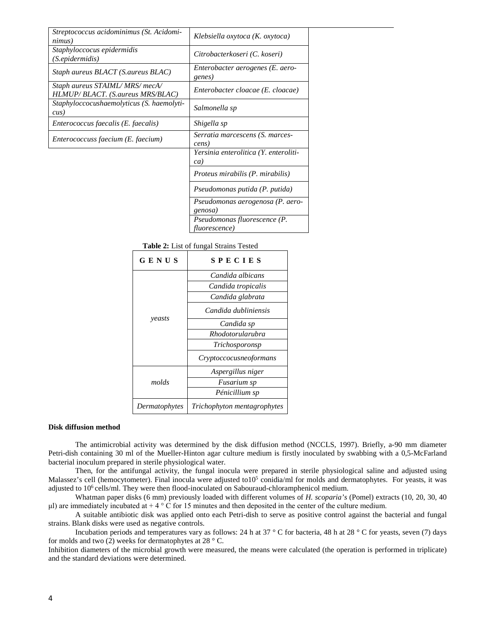| Streptococcus acidominimus (St. Acidomi-<br>nimus)                | Klebsiella oxytoca (K. oxytoca)                       |
|-------------------------------------------------------------------|-------------------------------------------------------|
| Staphyloccocus epidermidis<br>(S.epidermidis)                     | Citrobacterkoseri (C. koseri)                         |
| Staph aureus BLACT (S.aureus BLAC)                                | Enterobacter aerogenes (E. aero-<br>genes)            |
| Staph aureus STAIML/MRS/mecA/<br>HLMUP/BLACT. (S.aureus MRS/BLAC) | Enterobacter cloacae (E. cloacae)                     |
| Staphyloccocushaemolyticus (S. haemolyti-<br>$\textit{cus}$ )     | Salmonella sp                                         |
| Enterococcus faecalis (E. faecalis)                               | Shigella sp                                           |
| Enterococcuss faecium (E. faecium)                                | Serratia marcescens (S. marces-<br>cens)              |
|                                                                   | Yersinia enterolitica (Y. enteroliti-<br>ca)          |
|                                                                   | Proteus mirabilis (P. mirabilis)                      |
|                                                                   | Pseudomonas putida (P. putida)                        |
|                                                                   | Pseudomonas aerogenosa (P. aero-<br>genosa)           |
|                                                                   | Pseudomonas fluorescence (P.<br><i>fluorescence</i> ) |

 **Table 2:** List of fungal Strains Tested

| GENUS         | SPECIES                                |
|---------------|----------------------------------------|
| yeasts        | Candida albicans<br>Candida tropicalis |
|               | Candida glabrata                       |
|               | Candida dubliniensis                   |
|               | Candida sp                             |
|               | Rhodotorularubra                       |
|               | Trichosporonsp                         |
|               | Cryptoccocusne of ormans               |
|               | Aspergillus niger                      |
| molds         | Fusarium sp                            |
|               | Pénicillium sp                         |
| Dermatophytes | Trichophyton mentagrophytes            |

### **Disk diffusion method**

The antimicrobial activity was determined by the disk diffusion method (NCCLS, 1997). Briefly, a-90 mm diameter Petri-dish containing 30 ml of the Mueller-Hinton agar culture medium is firstly inoculated by swabbing with a 0,5-McFarland bacterial inoculum prepared in sterile physiological water.

Then, for the antifungal activity, the fungal inocula were prepared in sterile physiological saline and adjusted using Malassez's cell (hemocytometer). Final inocula were adjusted to10<sup>5</sup> conidia/ml for molds and dermatophytes. For yeasts, it was adjusted to 10<sup>6</sup> cells/ml. They were then flood-inoculated on Sabouraud-chloramphenicol medium.

Whatman paper disks (6 mm) previously loaded with different volumes of *H. scoparia's* (Pomel) extracts (10, 20, 30, 40 μl) are immediately incubated at  $+ 4 \circ$  C for 15 minutes and then deposited in the center of the culture medium.

A suitable antibiotic disk was applied onto each Petri-dish to serve as positive control against the bacterial and fungal strains. Blank disks were used as negative controls.

Incubation periods and temperatures vary as follows: 24 h at 37 ° C for bacteria, 48 h at 28 ° C for yeasts, seven (7) days for molds and two (2) weeks for dermatophytes at  $28 \degree$  C.

Inhibition diameters of the microbial growth were measured, the means were calculated (the operation is performed in triplicate) and the standard deviations were determined.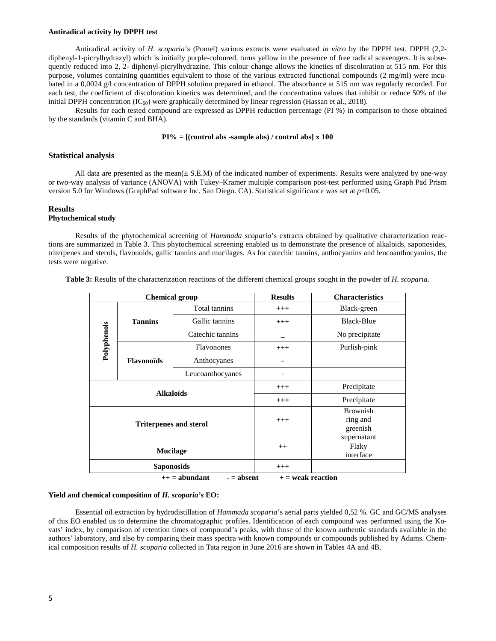#### **Antiradical activity by DPPH test**

Antiradical activity of *H. scoparia*'s (Pomel) various extracts were evaluated *in vitro* by the DPPH test. DPPH (2,2 diphenyl-1-picrylhydrazyl) which is initially purple-coloured, turns yellow in the presence of free radical scavengers. It is subsequently reduced into 2, 2- diphenyl-picrylhydrazine. This colour change allows the kinetics of discoloration at 515 nm. For this purpose, volumes containing quantities equivalent to those of the various extracted functional compounds  $(2 \text{ mg/ml})$  were incubated in a 0,0024 g/l concentration of DPPH solution prepared in ethanol. The absorbance at 515 nm was regularly recorded. For each test, the coefficient of discoloration kinetics was determined, and the concentration values that inhibit or reduce 50% of the initial DPPH concentration  $(IC_{50})$  were graphically determined by linear regression (Hassan et al., 2018).

Results for each tested compound are expressed as DPPH reduction percentage (PI %) in comparison to those obtained by the standards (vitamin C and BHA).

### **PI% = [(control abs -sample abs) / control abs] x 100**

### **Statistical analysis**

All data are presented as the mean( $\pm$  S.E.M) of the indicated number of experiments. Results were analyzed by one-way or two-way analysis of variance (ANOVA) with Tukey–Kramer multiple comparison post-test performed using Graph Pad Prism version 5.0 for Windows (GraphPad software Inc. San Diego. CA). Statistical significance was set at *p*<0.05.

#### **Results**

# **Phytochemical study**

Results of the phytochemical screening of *Hammada scoparia*'s extracts obtained by qualitative characterization reactions are summarized in Table 3. This phytochemical screening enabled us to demonstrate the presence of alkaloids, saponosides, triterpenes and sterols, flavonoids, gallic tannins and mucilages. As for catechic tannins, anthocyanins and leucoanthocyanins, the tests were negative.

| Table 3: Results of the characterization reactions of the different chemical groups sought in the powder of H. scoparia. |  |
|--------------------------------------------------------------------------------------------------------------------------|--|
|--------------------------------------------------------------------------------------------------------------------------|--|

| <b>Chemical group</b> |                                                                                                                                  |                  | <b>Results</b> | <b>Characteristics</b>                                 |
|-----------------------|----------------------------------------------------------------------------------------------------------------------------------|------------------|----------------|--------------------------------------------------------|
|                       |                                                                                                                                  | Total tannins    | $^{+++}$       | Black-green                                            |
|                       | <b>Tannins</b><br><b>Flavonoids</b><br><b>Alkaloïds</b><br><b>Triterpenes and sterol</b><br><b>Mucilage</b><br><b>Saponosids</b> | Gallic tannins   | $^{+++}$       | <b>Black-Blue</b>                                      |
|                       |                                                                                                                                  | Catechic tannins |                | No precipitate                                         |
| Polyphenols           |                                                                                                                                  | Flavonones       | $^{+++}$       | Purlish-pink                                           |
|                       |                                                                                                                                  | Anthocyanes      |                |                                                        |
|                       |                                                                                                                                  | Leucoanthocyanes |                |                                                        |
|                       |                                                                                                                                  |                  | $^{+++}$       | Precipitate                                            |
|                       |                                                                                                                                  |                  | $^{+++}$       | Precipitate                                            |
|                       |                                                                                                                                  |                  | $^{+++}$       | <b>Brownish</b><br>ring and<br>greenish<br>supernatant |
|                       |                                                                                                                                  |                  | $^{++}$        | Flaky<br>interface                                     |
|                       |                                                                                                                                  |                  | $^{+++}$       |                                                        |

 $++ =$  abundant  $- =$  absent  $+ =$  weak reaction

### **Yield and chemical composition of** *H. scoparia's* **EO:**

Essential oil extraction by hydrodistillation of *Hammada scoparia*'s aerial parts yielded 0,52 %. GC and GC/MS analyses of this EO enabled us to determine the chromatographic profiles. Identification of each compound was performed using the Kovats' index, by comparison of retention times of compound's peaks, with those of the known authentic standards available in the authors' laboratory, and also by comparing their mass spectra with known compounds or compounds published by Adams. Chemical composition results of *H. scoparia* collected in Tata region in June 2016 are shown in Tables 4A and 4B.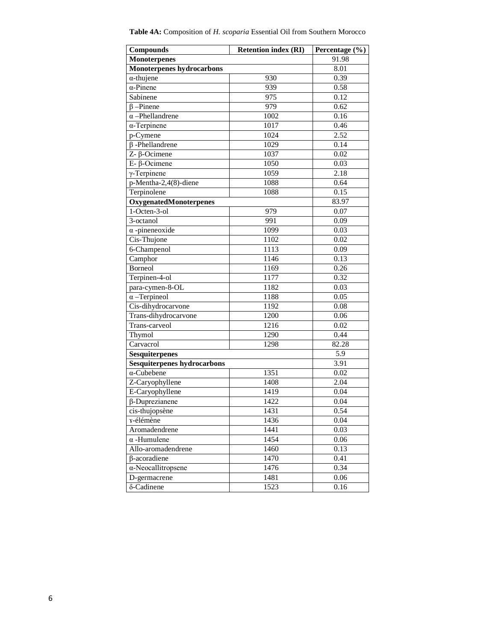| <b>Compounds</b>                   | <b>Retention index (RI)</b> |       |  |  |  |
|------------------------------------|-----------------------------|-------|--|--|--|
| <b>Monoterpenes</b>                |                             | 91.98 |  |  |  |
| <b>Monoterpenes hydrocarbons</b>   | 8.01                        |       |  |  |  |
| $\alpha$ -thujene                  | 930                         | 0.39  |  |  |  |
| $\alpha$ -Pinene                   | 939                         | 0.58  |  |  |  |
| Sabinene                           | 975                         | 0.12  |  |  |  |
| $\beta$ -Pinene                    | 979                         | 0.62  |  |  |  |
| $\alpha$ -Phellandrene             | 1002                        | 0.16  |  |  |  |
| $\alpha$ -Terpinene                | 1017                        | 0.46  |  |  |  |
| p-Cymene                           | 1024                        | 2.52  |  |  |  |
| $\beta$ -Phellandrene              | 1029                        | 0.14  |  |  |  |
| $\overline{Z}$ - $\beta$ -Ocimene  | 1037                        | 0.02  |  |  |  |
| $E - \beta$ -Ocimene               | 1050                        | 0.03  |  |  |  |
| $\gamma$ -Terpinene                | 1059                        | 2.18  |  |  |  |
| p-Mentha-2,4(8)-diene              | 1088                        | 0.64  |  |  |  |
| Terpinolene                        | 1088                        | 0.15  |  |  |  |
| OxygenatedMonoterpenes             |                             | 83.97 |  |  |  |
| 1-Octen-3-ol                       | 979                         | 0.07  |  |  |  |
| 3-octanol                          | 991                         | 0.09  |  |  |  |
| $\alpha$ -pineneoxide              | 1099                        | 0.03  |  |  |  |
| Cis-Thujone                        | 1102                        | 0.02  |  |  |  |
| 6-Champenol                        | 1113                        | 0.09  |  |  |  |
| Camphor                            | 1146                        | 0.13  |  |  |  |
| <b>Borneol</b>                     | 1169                        | 0.26  |  |  |  |
| Terpinen-4-ol                      | 1177                        | 0.32  |  |  |  |
| para-cymen-8-OL                    | 1182                        | 0.03  |  |  |  |
| $\alpha$ -Terpineol                | 1188                        | 0.05  |  |  |  |
| Cis-dihydrocarvone                 | 1192                        | 0.08  |  |  |  |
| Trans-dihydrocarvone               | 1200                        | 0.06  |  |  |  |
| Trans-carveol                      | 1216                        | 0.02  |  |  |  |
| Thymol                             | 1290                        | 0.44  |  |  |  |
| Carvacrol                          | 1298                        | 82.28 |  |  |  |
| <b>Sesquiterpenes</b>              |                             | 5.9   |  |  |  |
| <b>Sesquiterpenes hydrocarbons</b> |                             | 3.91  |  |  |  |
| $\alpha$ -Cubebene                 | 1351                        | 0.02  |  |  |  |
| Z-Caryophyllene                    | 1408                        | 2.04  |  |  |  |
| E-Caryophyllene                    | 1419                        | 0.04  |  |  |  |
| $\beta$ -Duprezianene              | 1422                        | 0.04  |  |  |  |
| cis-thujopsène                     | 1431                        | 0.54  |  |  |  |
| x-élémène                          | 1436                        | 0.04  |  |  |  |
| Aromadendrene                      | 1441                        | 0.03  |  |  |  |
| $\alpha$ -Humulene                 | 1454                        | 0.06  |  |  |  |
| Allo-aromadendrene                 | 1460                        | 0.13  |  |  |  |
| β-acoradiene                       | 1470                        | 0.41  |  |  |  |
| $\alpha$ -Neocallitropsene         | 1476                        | 0.34  |  |  |  |
| D-germacrene                       | 1481                        | 0.06  |  |  |  |
| δ-Cadinene                         | 1523                        | 0.16  |  |  |  |

**Table 4A:** Composition of *H. scoparia* Essential Oil from Southern Morocco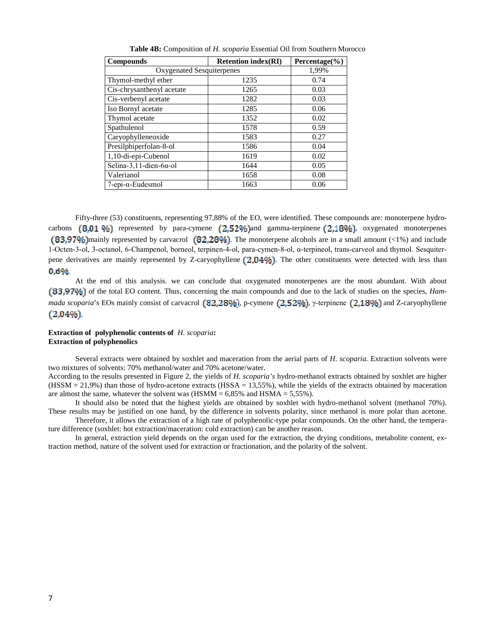| <b>Compounds</b>                | <b>Retention index(RI)</b> | Percentage $(\% )$ |  |  |  |
|---------------------------------|----------------------------|--------------------|--|--|--|
| Oxygenated Sesquiterpenes       |                            | 1,99%              |  |  |  |
| Thymol-methyl ether             | 1235                       | 0.74               |  |  |  |
| Cis-chrysanthenyl acetate       | 1265                       | 0.03               |  |  |  |
| Cis-verbenyl acetate            | 1282                       | 0.03               |  |  |  |
| Iso Bornyl acetate              | 1285                       | 0.06               |  |  |  |
| Thymol acetate                  | 1352                       | 0.02               |  |  |  |
| Spathulenol                     | 1578                       | 0.59               |  |  |  |
| Caryophylleneoxide              | 1583                       | 0.27               |  |  |  |
| Presilphiperfolan-8-ol          | 1586                       | 0.04               |  |  |  |
| 1,10-di-epi-Cubenol             | 1619                       | 0.02               |  |  |  |
| Selina-3,11-dien-6 $\alpha$ -ol | 1644                       | 0.05               |  |  |  |
| Valerianol                      | 1658                       | 0.08               |  |  |  |
| $7$ -epi- $\alpha$ -Eudesmol    | 1663                       | 0.06               |  |  |  |

**Table 4B:** Composition of *H. scoparia* Essential Oil from Southern Morocco

Fifty**-**three (53) constituents, representing 97,88% of the EO, were identified. These compounds are: monoterpene hydrocarbons  $(8.01\%)$  represented by para-cymene  $(2.52\%)$  and gamma-terpinene  $(2.18\%)$ , oxygenated monoterpenes (83,97%) mainly represented by carvacrol  $(82,28\%)$ . The monoterpene alcohols are in a small amount (<1%) and include 1-Octen-3-ol, 3-octanol, 6-Champenol, borneol, terpinen-4-ol, para-cymen-8-ol, α-terpineol, trans-carveol and thymol. Sesquiterpene derivatives are mainly represented by Z-caryophyllene  $(2,04\%)$ . The other constituents were detected with less than 0,6%

At the end of this analysis. we can conclude that oxygenated monoterpenes are the most abundant. With about (83,97%) of the total EO content. Thus, concerning the main compounds and due to the lack of studies on the species, *Hammada scoparia*'s EOs mainly consist of carvacrol  $(82.28\%)$ , p-cymene  $(2.52\%)$ , y-terpinene  $(2.18\%)$  and Z-caryophyllene  $(2,04%).$ 

# **Extraction of polyphenolic contents of** *H. scoparia***: Extraction of polyphenolics**

Several extracts were obtained by soxhlet and maceration from the aerial parts of *H*. *scoparia.* Extraction solvents were two mixtures of solvents: 70% methanol/water and 70% acetone/water.

According to the results presented in Figure 2, the yields of *H. scoparia's* hydro-methanol extracts obtained by soxhlet are higher  $(HSSM = 21,9%)$  than those of hydro-acetone extracts  $(HSSA = 13,55%)$ , while the yields of the extracts obtained by maceration are almost the same, whatever the solvent was  $(HSMM = 6,85\%$  and  $HSMA = 5,55\%$ ).

It should also be noted that the highest yields are obtained by soxhlet with hydro-methanol solvent (methanol 70%). These results may be justified on one hand, by the difference in solvents polarity, since methanol is more polar than acetone.

Therefore, it allows the extraction of a high rate of polyphenolic-type polar compounds. On the other hand, the temperature difference (soxhlet: hot extraction/maceration: cold extraction) can be another reason.

In general, extraction yield depends on the organ used for the extraction, the drying conditions, metabolite content, extraction method, nature of the solvent used for extraction or fractionation, and the polarity of the solvent.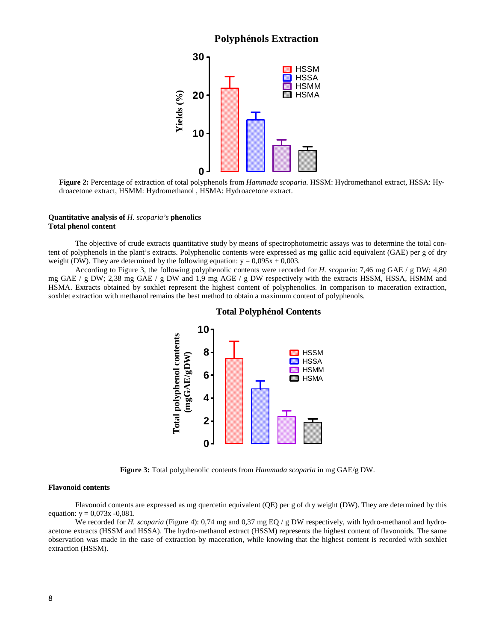# **Polyphénols Extraction**



**Figure 2:** Percentage of extraction of total polyphenols from *Hammada scoparia.* HSSM: Hydromethanol extract, HSSA: Hydroacetone extract, HSMM: Hydromethanol , HSMA: Hydroacetone extract.

### **Quantitative analysis of** *H. scoparia's* **phenolics Total phenol content**

The objective of crude extracts quantitative study by means of spectrophotometric assays was to determine the total content of polyphenols in the plant's extracts. Polyphenolic contents were expressed as mg gallic acid equivalent (GAE) per g of dry weight (DW). They are determined by the following equation:  $y = 0.095x + 0.003$ .

According to Figure 3, the following polyphenolic contents were recorded for *H. scoparia*: 7,46 mg GAE / g DW; 4,80 mg GAE / g DW; 2,38 mg GAE / g DW and 1,9 mg AGE / g DW respectively with the extracts HSSM, HSSA, HSMM and HSMA. Extracts obtained by soxhlet represent the highest content of polyphenolics. In comparison to maceration extraction, soxhlet extraction with methanol remains the best method to obtain a maximum content of polyphenols.



### **Total Polyphénol Contents**

**Figure 3:** Total polyphenolic contents from *Hammada scoparia* in mg GAE/g DW.

### **Flavonoid contents**

Flavonoid contents are expressed as mg quercetin equivalent (QE) per g of dry weight (DW). They are determined by this equation:  $y = 0.073x - 0.081$ .

We recorded for *H. scoparia* (Figure 4): 0,74 mg and 0,37 mg EQ / g DW respectively, with hydro-methanol and hydroacetone extracts (HSSM and HSSA). The hydro-methanol extract (HSSM) represents the highest content of flavonoids. The same observation was made in the case of extraction by maceration, while knowing that the highest content is recorded with soxhlet extraction (HSSM).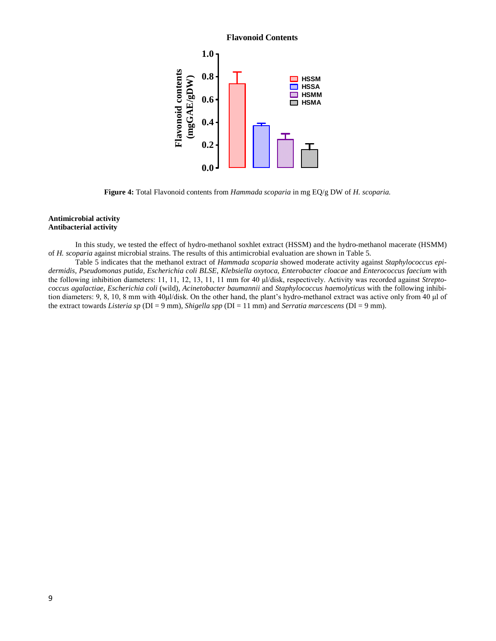# **Flavonoid Contents**



**Figure 4:** Total Flavonoid contents from *Hammada scoparia* in mg EQ/g DW of *H. scoparia.* 

# **Antimicrobial activity Antibacterial activity**

In this study, we tested the effect of hydro-methanol soxhlet extract (HSSM) and the hydro-methanol macerate (HSMM) of *H. scoparia* against microbial strains. The results of this antimicrobial evaluation are shown in Table 5.

Table 5 indicates that the methanol extract of *Hammada scoparia* showed moderate activity against *Staphylococcus epidermidis, Pseudomonas putida, Escherichia coli BLSE, Klebsiella oxytoca, Enterobacter cloacae* and *Enterococcus faecium* with the following inhibition diameters: 11, 11, 12, 13, 11, 11 mm for 40 μl/disk, respectively. Activity was recorded against *Streptococcus agalactiae*, *Escherichia coli* (wild), *Acinetobacter baumannii* and *Staphylococcus haemolyticus* with the following inhibition diameters: 9, 8, 10, 8 mm with 40μl/disk. On the other hand, the plant's hydro-methanol extract was active only from 40 μl of the extract towards *Listeria sp* (DI = 9 mm), *Shigella spp* (DI = 11 mm) and *Serratia marcescens* (DI = 9 mm).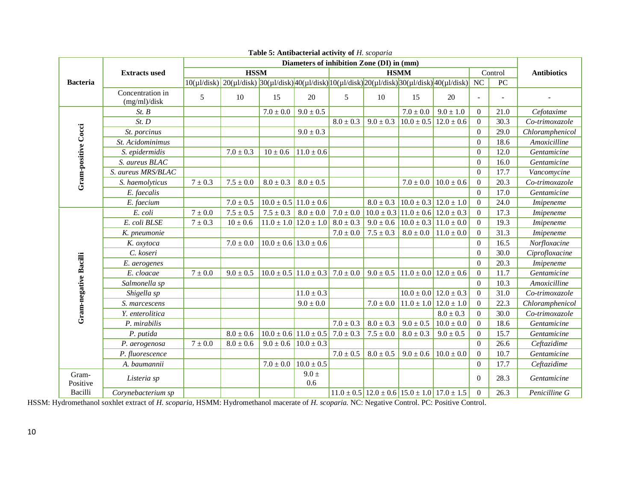|                       |                                  | Diameters of inhibition Zone (DI) in (mm) |                                                                                                                                                                          |               |                                                           |               |               |                                                             |                               |                          |                    |                 |
|-----------------------|----------------------------------|-------------------------------------------|--------------------------------------------------------------------------------------------------------------------------------------------------------------------------|---------------|-----------------------------------------------------------|---------------|---------------|-------------------------------------------------------------|-------------------------------|--------------------------|--------------------|-----------------|
|                       | <b>Extracts used</b>             | <b>HSSM</b>                               |                                                                                                                                                                          |               | <b>HSMM</b>                                               |               |               |                                                             | Control                       |                          | <b>Antibiotics</b> |                 |
| <b>Bacteria</b>       |                                  |                                           | $10(\mu l/disk)\left[20(\mu l/disk)\right]30(\mu l/disk)\left[40(\mu l/disk)\right]10(\mu l/disk)\left[20(\mu l/disk)\right]30(\mu l/disk)\left[40(\mu l/disk)\right]NC$ |               |                                                           |               |               |                                                             |                               |                          | $\overline{PC}$    |                 |
|                       | Concentration in<br>(mg/ml)/disk | 5                                         | 10                                                                                                                                                                       | 15            | 20                                                        | 5             | 10            | 15                                                          | 20                            | $\overline{\phantom{a}}$ |                    |                 |
|                       | St. B                            |                                           |                                                                                                                                                                          | $7.0 \pm 0.0$ | $9.0 \pm 0.5$                                             |               |               | $7.0 \pm 0.0$                                               | $9.0 \pm 1.0$                 | $\overline{0}$           | 21.0               | Cefotaxime      |
|                       | St. D                            |                                           |                                                                                                                                                                          |               |                                                           | $8.0 \pm 0.3$ | $9.0 \pm 0.3$ | $10.0 \pm 0.5$ 12.0 $\pm$ 0.6                               |                               | $\overline{0}$           | 30.3               | Co-trimoxazole  |
|                       | St. porcinus                     |                                           |                                                                                                                                                                          |               | $9.0 \pm 0.3$                                             |               |               |                                                             |                               | $\mathbf{0}$             | 29.0               | Chloramphenicol |
|                       | St. Acidominimus                 |                                           |                                                                                                                                                                          |               |                                                           |               |               |                                                             |                               | $\overline{0}$           | 18.6               | Amoxicilline    |
|                       | S. epidermidis                   |                                           | $7.0 \pm 0.3$                                                                                                                                                            | $10 \pm 0.6$  | $11.0 \pm 0.6$                                            |               |               |                                                             |                               | $\overline{0}$           | 12.0               | Gentamicine     |
|                       | S. aureus BLAC                   |                                           |                                                                                                                                                                          |               |                                                           |               |               |                                                             |                               | $\overline{0}$           | 16.0               | Gentamicine     |
|                       | S. aureus MRS/BLAC               |                                           |                                                                                                                                                                          |               |                                                           |               |               |                                                             |                               | $\mathbf{0}$             | 17.7               | Vancomycine     |
| Gram-positive Cocci   | S. haemolyticus                  | $7 \pm 0.3$                               | $7.5 \pm 0.0$                                                                                                                                                            | $8.0 \pm 0.3$ | $8.0 \pm 0.5$                                             |               |               | $7.0 \pm 0.0$                                               | $10.0 \pm 0.6$                | $\overline{0}$           | 20.3               | Co-trimoxazole  |
|                       | E. faecalis                      |                                           |                                                                                                                                                                          |               |                                                           |               |               |                                                             |                               | $\theta$                 | 17.0               | Gentamicine     |
|                       | E. faecium                       |                                           | $7.0 \pm 0.5$                                                                                                                                                            |               | $10.0 \pm 0.5$ 11.0 $\pm$ 0.6                             |               | $8.0 \pm 0.3$ | $10.0 \pm 0.3$ 12.0 $\pm 1.0$                               |                               | $\mathbf{0}$             | 24.0               | Imipeneme       |
|                       | E. coli                          | $7\pm0.0$                                 | $7.5 \pm 0.5$                                                                                                                                                            | $7.5 \pm 0.3$ | $8.0 \pm 0.0$                                             | $7.0\pm0.0$   |               | $10.0 \pm 0.3$ 11.0 $\pm$ 0.6 12.0 $\pm$ 0.3                |                               | $\overline{0}$           | 17.3               | Imipeneme       |
|                       | E. coli BLSE                     | $7 \pm 0.3$                               | $10\pm0.6$                                                                                                                                                               |               | $11.0 \pm 1.0$ 12.0 $\pm 1.0$                             | $8.0\pm0.3$   | $9.0 \pm 0.6$ | $10.0 \pm 0.3$ 11.0 $\pm$ 0.0                               |                               | $\overline{0}$           | 19.3               | Imipeneme       |
|                       | K. pneumonie                     |                                           |                                                                                                                                                                          |               |                                                           | $7.0 \pm 0.0$ | $7.5 \pm 0.3$ | $8.0 \pm 0.0$                                               | $11.0 \pm 0.0$                | $\overline{0}$           | 31.3               | Imipeneme       |
|                       | K. oxytoca                       |                                           | $7.0 \pm 0.0$                                                                                                                                                            |               | $10.0 \pm 0.6$ 13.0 $\pm$ 0.6                             |               |               |                                                             |                               | $\mathbf{0}$             | 16.5               | Norfloxacine    |
|                       | C. koseri                        |                                           |                                                                                                                                                                          |               |                                                           |               |               |                                                             |                               | $\mathbf{0}$             | 30.0               | Ciprofloxacine  |
|                       | E. aerogenes                     |                                           |                                                                                                                                                                          |               |                                                           |               |               |                                                             |                               | $\theta$                 | 20.3               | Imipeneme       |
|                       | E. cloacae                       | $7 \pm 0.0$                               | $9.0 \pm 0.5$                                                                                                                                                            |               | $10.0 \pm 0.5$ 11.0 $\pm$ 0.3 7.0 $\pm$ 0.0 9.0 $\pm$ 0.5 |               |               | $11.0 \pm 0.0$ 12.0 $\pm 0.6$                               |                               | $\overline{0}$           | 11.7               | Gentamicine     |
|                       | Salmonella sp                    |                                           |                                                                                                                                                                          |               |                                                           |               |               |                                                             |                               | $\mathbf{0}$             | 10.3               | Amoxicilline    |
| Gram-negative Bacilli | Shigella sp                      |                                           |                                                                                                                                                                          |               | $11.0 \pm 0.3$                                            |               |               |                                                             | $10.0 \pm 0.0$ 12.0 $\pm$ 0.3 | $\overline{0}$           | 31.0               | Co-trimoxazole  |
|                       | S. marcescens                    |                                           |                                                                                                                                                                          |               | $9.0 \pm 0.0$                                             |               | $7.0 \pm 0.0$ | $11.0 \pm 1.0$ 12.0 $\pm 1.0$                               |                               | $\theta$                 | 22.3               | Chloramphenicol |
|                       | Y. enterolitica                  |                                           |                                                                                                                                                                          |               |                                                           |               |               |                                                             | $8.0 \pm 0.3$                 | $\overline{0}$           | 30.0               | Co-trimoxazole  |
|                       | P. mirabilis                     |                                           |                                                                                                                                                                          |               |                                                           | $7.0 \pm 0.3$ | $8.0 \pm 0.3$ | $9.0 \pm 0.5$                                               | $10.0 \pm 0.0$                | $\overline{0}$           | 18.6               | Gentamicine     |
|                       | P. putida                        |                                           | $8.0\pm0.6$                                                                                                                                                              |               | $10.0 \pm 0.6$ 11.0 $\pm 0.5$                             | $7.0 \pm 0.3$ | $7.5 \pm 0.0$ | $8.0 \pm 0.3$                                               | $9.0 \pm 0.5$                 | $\mathbf{0}$             | 15.7               | Gentamicine     |
|                       | P. aerogenosa                    | $7\pm0.0$                                 | $8.0 \pm 0.6$                                                                                                                                                            |               | $9.0 \pm 0.6$ 10.0 $\pm$ 0.3                              |               |               |                                                             |                               | $\overline{0}$           | 26.6               | Ceftazidime     |
|                       | P. fluorescence                  |                                           |                                                                                                                                                                          |               |                                                           | $7.0 \pm 0.5$ | $8.0 \pm 0.5$ | $9.0\pm0.6$                                                 | $10.0 \pm 0.0$                | $\overline{0}$           | 10.7               | Gentamicine     |
|                       | A. baumannii                     |                                           |                                                                                                                                                                          |               | $7.0 \pm 0.0$ 10.0 $\pm$ 0.5                              |               |               |                                                             |                               | $\Omega$                 | 17.7               | Ceftazidime     |
| Gram-<br>Positive     | Listeria sp                      |                                           |                                                                                                                                                                          |               | $9.0 \pm$<br>0.6                                          |               |               |                                                             |                               | $\theta$                 | 28.3               | Gentamicine     |
| Bacilli               | Corynebacterium sp               |                                           |                                                                                                                                                                          |               |                                                           |               |               | $11.0 \pm 0.5$ 12.0 $\pm$ 0.6 15.0 $\pm$ 1.0 17.0 $\pm$ 1.5 |                               | $\overline{0}$           | 26.3               | Penicilline G   |

**Table 5: Antibacterial activity of** *H. scoparia*

HSSM: Hydromethanol soxhlet extract of *H. scoparia*, HSMM: Hydromethanol macerate of *H. scoparia*. NC: Negative Control. PC: Positive Control.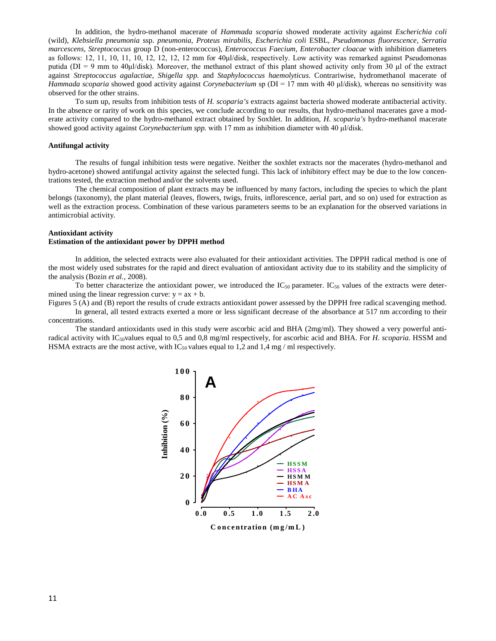In addition, the hydro-methanol macerate of *Hammada scoparia* showed moderate activity against *Escherichia coli* (wild), *Klebsiella pneumonia* ssp. *pneumonia*, *Proteus mirabilis*, *Escherichia coli* ESBL, *Pseudomonas fluorescence*, *Serratia marcescens*, *Streptococcus* group D (non-enterococcus), *Enterococcus Faecium, Enterobacter cloacae* with inhibition diameters as follows: 12, 11, 10, 11, 10, 12, 12, 12, 12 mm for 40μl/disk, respectively. Low activity was remarked against Pseudomonas putida ( $DI = 9$  mm to  $40\mu$ /disk). Moreover, the methanol extract of this plant showed activity only from 30  $\mu$ l of the extract against *Streptococcus agalactiae*, *Shigella spp.* and *Staphylococcus haemolyticus*. Contrariwise, hydromethanol macerate of *Hammada scoparia* showed good activity against *Corynebacterium* sp (DI = 17 mm with 40 μl/disk), whereas no sensitivity was observed for the other strains.

To sum up, results from inhibition tests of *H. scoparia's* extracts against bacteria showed moderate antibacterial activity. In the absence or rarity of work on this species, we conclude according to our results, that hydro-methanol macerates gave a moderate activity compared to the hydro-methanol extract obtained by Soxhlet. In addition, *H. scoparia's* hydro-methanol macerate showed good activity against *Corynebacterium spp.* with 17 mm as inhibition diameter with 40 μl/disk.

### **Antifungal activity**

The results of fungal inhibition tests were negative. Neither the soxhlet extracts nor the macerates (hydro-methanol and hydro-acetone) showed antifungal activity against the selected fungi. This lack of inhibitory effect may be due to the low concentrations tested, the extraction method and/or the solvents used.

The chemical composition of plant extracts may be influenced by many factors, including the species to which the plant belongs (taxonomy), the plant material (leaves, flowers, twigs, fruits, inflorescence, aerial part, and so on) used for extraction as well as the extraction process. Combination of these various parameters seems to be an explanation for the observed variations in antimicrobial activity.

### **Antioxidant activity**

#### **Estimation of the antioxidant power by DPPH method**

In addition, the selected extracts were also evaluated for their antioxidant activities. The DPPH radical method is one of the most widely used substrates for the rapid and direct evaluation of antioxidant activity due to its stability and the simplicity of the analysis (Bozin *et al.,* 2008).

To better characterize the antioxidant power, we introduced the  $IC_{50}$  parameter.  $IC_{50}$  values of the extracts were determined using the linear regression curve:  $y = ax + b$ .

Figures 5 (A) and (B) report the results of crude extracts antioxidant power assessed by the DPPH free radical scavenging method.

In general, all tested extracts exerted a more or less significant decrease of the absorbance at 517 nm according to their concentrations.

The standard antioxidants used in this study were ascorbic acid and BHA (2mg/ml). They showed a very powerful antiradical activity with IC50values equal to 0,5 and 0,8 mg/ml respectively, for ascorbic acid and BHA. For *H. scoparia*. HSSM and HSMA extracts are the most active, with  $IC_{50}$  values equal to 1,2 and 1,4 mg / ml respectively.

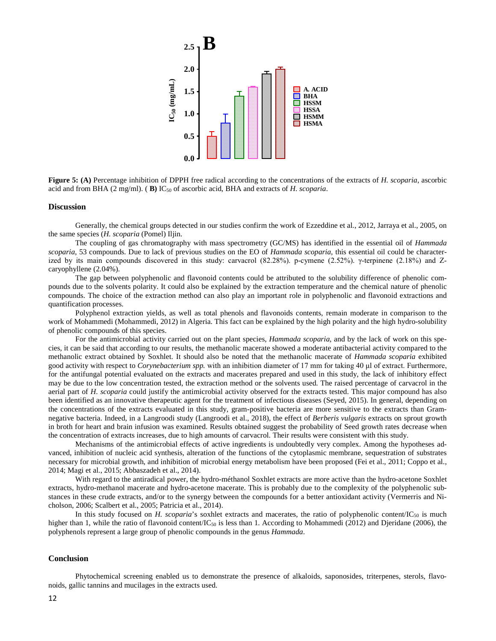

**Figure 5: (A)** Percentage inhibition of DPPH free radical according to the concentrations of the extracts of *H. scoparia*, ascorbic acid and from BHA (2 mg/ml). ( **B)** IC50 of ascorbic acid, BHA and extracts of *H. scoparia*.

#### **Discussion**

Generally, the chemical groups detected in our studies confirm the work of Ezzeddine et al., 2012, Jarraya et al., 2005, on the same species (*H. scoparia* (Pomel) Iljin.

The coupling of gas chromatography with mass spectrometry (GC/MS) has identified in the essential oil of *Hammada scoparia*, 53 compounds. Due to lack of previous studies on the EO of *Hammada scoparia*, this essential oil could be characterized by its main compounds discovered in this study: carvacrol (82.28%). p-cymene (2.52%). γ-terpinene (2.18%) and Zcaryophyllene (2.04%).

The gap between polyphenolic and flavonoid contents could be attributed to the solubility difference of phenolic compounds due to the solvents polarity. It could also be explained by the extraction temperature and the chemical nature of phenolic compounds. The choice of the extraction method can also play an important role in polyphenolic and flavonoid extractions and quantification processes.

Polyphenol extraction yields, as well as total phenols and flavonoids contents, remain moderate in comparison to the work of Mohammedi (Mohammedi, 2012) in Algeria. This fact can be explained by the high polarity and the high hydro-solubility of phenolic compounds of this species.

For the antimicrobial activity carried out on the plant species, *Hammada scoparia*, and by the lack of work on this species, it can be said that according to our results, the methanolic macerate showed a moderate antibacterial activity compared to the methanolic extract obtained by Soxhlet. It should also be noted that the methanolic macerate of *Hammada scoparia* exhibited good activity with respect to *Corynebacterium spp.* with an inhibition diameter of 17 mm for taking 40 μl of extract. Furthermore, for the antifungal potential evaluated on the extracts and macerates prepared and used in this study, the lack of inhibitory effect may be due to the low concentration tested, the extraction method or the solvents used. The raised percentage of carvacrol in the aerial part of *H. scoparia* could justify the antimicrobial activity observed for the extracts tested. This major compound has also been identified as an innovative therapeutic agent for the treatment of infectious diseases (Seyed, 2015). In general, depending on the concentrations of the extracts evaluated in this study, gram-positive bacteria are more sensitive to the extracts than Gramnegative bacteria. Indeed, in a Langroodi study (Langroodi et al., 2018), the effect of *Berberis vulgaris* extracts on sprout growth in broth for heart and brain infusion was examined. Results obtained suggest the probability of Seed growth rates decrease when the concentration of extracts increases, due to high amounts of carvacrol. Their results were consistent with this study.

Mechanisms of the antimicrobial effects of active ingredients is undoubtedly very complex. Among the hypotheses advanced, inhibition of nucleic acid synthesis, alteration of the functions of the cytoplasmic membrane, sequestration of substrates necessary for microbial growth, and inhibition of microbial energy metabolism have been proposed (Fei et al., 2011; Coppo et al., 2014; Magi et al., 2015; Abbaszadeh et al., 2014).

With regard to the antiradical power, the hydro-méthanol Soxhlet extracts are more active than the hydro-acetone Soxhlet extracts, hydro-methanol macerate and hydro-acetone macerate. This is probably due to the complexity of the polyphenolic substances in these crude extracts, and/or to the synergy between the compounds for a better antioxidant activity (Vermerris and Nicholson, 2006; Scalbert et al., 2005; Patricia et al., 2014).

In this study focused on  $H$ . scoparia's soxhlet extracts and macerates, the ratio of polyphenolic content/IC<sub>50</sub> is much higher than 1, while the ratio of flavonoid content/IC<sub>50</sub> is less than 1. According to Mohammedi (2012) and Djeridane (2006), the polyphenols represent a large group of phenolic compounds in the genus *Hammada*.

# **Conclusion**

Phytochemical screening enabled us to demonstrate the presence of alkaloids, saponosides, triterpenes, sterols, flavonoids, gallic tannins and mucilages in the extracts used.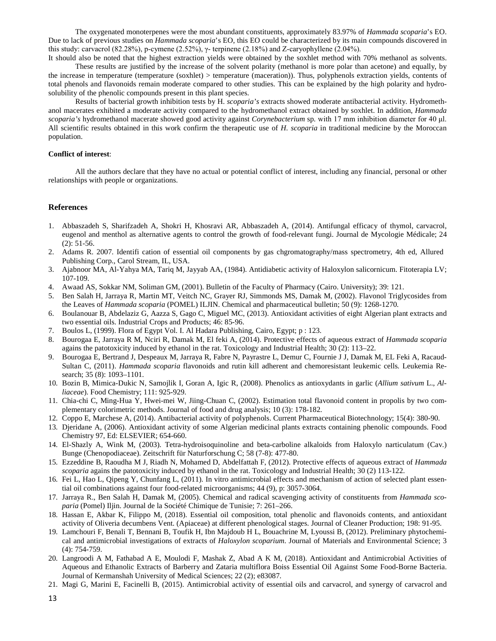The oxygenated monoterpenes were the most abundant constituents, approximately 83.97% of *Hammada scoparia*'s EO. Due to lack of previous studies on *Hammada scoparia*'s EO, this EO could be characterized by its main compounds discovered in this study: carvacrol (82.28%), p-cymene (2.52%), γ- terpinene (2.18%) and Z-caryophyllene (2.04%).

It should also be noted that the highest extraction yields were obtained by the soxhlet method with 70% methanol as solvents. These results are justified by the increase of the solvent polarity (methanol is more polar than acetone) and equally, by the increase in temperature (temperature (soxhlet) > temperature (maceration)). Thus, polyphenols extraction yields, contents of total phenols and flavonoids remain moderate compared to other studies. This can be explained by the high polarity and hydrosolubility of the phenolic compounds present in this plant species.

Results of bacterial growth inhibition tests by H. *scoparia's* extracts showed moderate antibacterial activity. Hydromethanol macerates exhibited a moderate activity compared to the hydromethanol extract obtained by soxhlet. In addition, *Hammada scoparia's* hydromethanol macerate showed good activity against *Corynebacterium* sp*.* with 17 mm inhibition diameter for 40 μl. All scientific results obtained in this work confirm the therapeutic use of *H. scoparia* in traditional medicine by the Moroccan population.

### **Conflict of interest**:

All the authors declare that they have no actual or potential conflict of interest, including any financial, personal or other relationships with people or organizations.

### **References**

- 1. Abbaszadeh S, Sharifzadeh A, Shokri H, Khosravi AR, Abbaszadeh A, (2014). Antifungal efficacy of thymol, carvacrol, eugenol and menthol as alternative agents to control the growth of food-relevant fungi. Journal de Mycologie Médicale; 24 (2): 51-56.
- 2. Adams R. 2007. Identifi cation of essential oil components by gas chgromatography/mass spectrometry, 4th ed, Allured Publishing Corp., Carol Stream, IL, USA.
- 3. Ajabnoor MA, Al-Yahya MA, Tariq M, Jayyab AA, (1984). Antidiabetic activity of Haloxylon salicornicum. Fitoterapia LV; 107-109.
- 4. Awaad AS, Sokkar NM, Soliman GM, (2001). Bulletin of the Faculty of Pharmacy (Cairo. University); 39: 121.
- 5. Ben Salah H, Jarraya R, Martin MT, Veitch NC, Grayer RJ, Simmonds MS, Damak M, (2002). Flavonol Triglycosides from the Leaves of *Hammada scoparia* (POMEL) ILJIN. Chemical and pharmaceutical bulletin; 50 (9): 1268-1270.
- 6. Boulanouar B, Abdelaziz G, Aazza S, Gago C, Miguel MC, (2013). Antioxidant activities of eight Algerian plant extracts and two essential oils. Industrial Crops and Products; 46: 85-96.
- 7. Boulos L, (1999). Flora of Egypt Vol. I. Al Hadara Publishing, Cairo, Egypt; p : 123.
- 8. Bourogaa E, Jarraya R M, Nciri R, Damak M, El feki A, (2014). Protective effects of aqueous extract of *Hammada scoparia* agains the patotoxicity induced by ethanol in the rat. Toxicology and Industrial Health; 30 (2): 113–22.
- 9. Bourogaa E, Bertrand J, Despeaux M, Jarraya R, Fabre N, Payrastre L, Demur C, Fournie J J, Damak M, EL Feki A, Racaud-Sultan C, (2011). *Hammada scoparia* flavonoids and rutin kill adherent and chemoresistant leukemic cells*.* Leukemia Research; 35 (8): 1093–1101.
- 10. Bozin B, Mimica-Dukic N, Samojlik I, Goran A, Igic R, (2008). Phenolics as antioxydants in garlic (*Allium sativum* L., *Alliaceae*). Food Chemistry; 111: 925-929.
- 11. Chia-chi C, Ming-Hua Y, Hwei-mei W, Jiing-Chuan C, (2002). Estimation total flavonoid content in propolis by two complementary colorimetric methods. Journal of food and drug analysis; 10 (3): 178-182.
- 12. Coppo E, Marchese A, (2014). Antibacterial activity of polyphenols. Current Pharmaceutical Biotechnology; 15(4): 380-90.
- 13. Djeridane A, (2006). Antioxidant activity of some Algerian medicinal plants extracts containing phenolic compounds. Food Chemistry 97, Ed: ELSEVIER; 654-660.
- 14. El-Shazly A, Wink M, (2003). Tetra-hydroisoquinoline and beta-carboline alkaloids from Haloxylo narticulatum (Cav.) Bunge (Chenopodiaceae). Zeitschrift für Naturforschung C; 58 (7-8): 477-80.
- 15. Ezzeddine B, Raoudha M J, Riadh N, Mohamed D, Abdelfattah F, (2012). Protective effects of aqueous extract of *Hammada scoparia* agains the patotoxicity induced by ethanol in the rat. Toxicology and Industrial Health; 30 (2) 113-122.
- 16. Fei L, Hao L, Qipeng Y, Chunfang L, (2011). In vitro antimicrobial effects and mechanism of action of selected plant essential oil combinations against four food-related microorganisms; 44 (9), p: 3057-3064.
- 17. Jarraya R., Ben Salah H, Damak M, (2005). Chemical and radical scavenging activity of constituents from *Hammada scoparia* (Pomel) Iljin. Journal de la Société Chimique de Tunisie; 7: 261–266.
- 18. Hassan E, Akbar K, Filippo M, (2018). Essential oil composition, total phenolic and flavonoids contents, and antioxidant activity of Oliveria decumbens Vent. (Apiaceae) at different phenological stages. Journal of Cleaner Production; 198: 91-95.
- 19. Lamchouri F, Benali T, Bennani B, Toufik H, Ibn Majdoub H L, Bouachrine M, Lyoussi B, (2012). Preliminary phytochemical and antimicrobial investigations of extracts of *Haloxylon scoparium*. Journal of Materials and Environmental Science; 3 (4): 754-759.
- 20. Langroodi A M, Fathabad A E, Moulodi F, Mashak Z, Abad A K M, (2018). Antioxidant and Antimicrobial Activities of Aqueous and Ethanolic Extracts of Barberry and Zataria multiflora Boiss Essential Oil Against Some Food-Borne Bacteria. Journal of Kermanshah University of Medical Sciences; 22 (2); e83087.
- 21. Magi G, Marini E, Facinelli B, (2015). Antimicrobial activity of essential oils and carvacrol, and synergy of carvacrol and